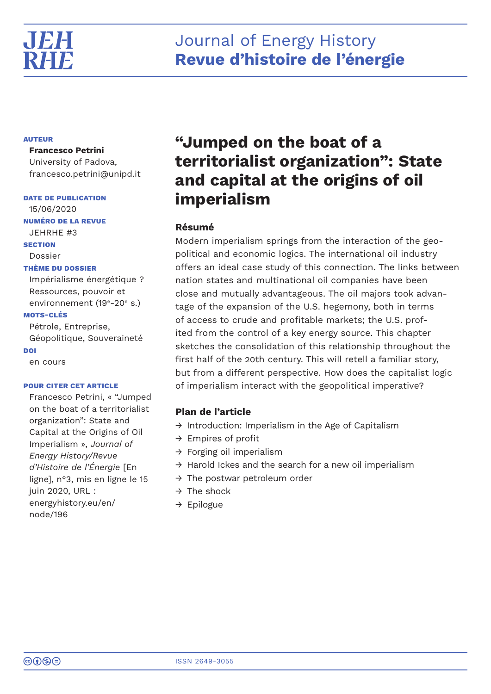

# **AUTEUR**

**Francesco Petrini**

University of Padova, francesco.petrini@unipd.it

# **DATE DE PUBLICATION**

15/06/2020 **NUMÉRO DE LA REVUE** JEHRHE #3 **SECTION** Dossier **THÈME DU DOSSIER** Impérialisme énergétique ?

Ressources, pouvoir et environnement (19<sup>e</sup>-20<sup>e</sup> s.)

# **MOTS-CLÉS**

Pétrole, Entreprise, Géopolitique, Souveraineté **DOI** en cours

**POUR CITER CET ARTICLE**

Francesco Petrini, « "Jumped on the boat of a territorialist organization": State and Capital at the Origins of Oil Imperialism », *Journal of Energy History/Revue d'Histoire de l'Énergie* [En ligne], n°3, mis en ligne le 15 juin 2020, URL : energyhistory.eu/en/ node/196

# **"Jumped on the boat of a territorialist organization": State and capital at the origins of oil imperialism**

# **Résumé**

Modern imperialism springs from the interaction of the geopolitical and economic logics. The international oil industry offers an ideal case study of this connection. The links between nation states and multinational oil companies have been close and mutually advantageous. The oil majors took advantage of the expansion of the U.S. hegemony, both in terms of access to crude and profitable markets; the U.S. profited from the control of a key energy source. This chapter sketches the consolidation of this relationship throughout the first half of the 20th century. This will retell a familiar story, but from a different perspective. How does the capitalist logic of imperialism interact with the geopolitical imperative?

# **Plan de l'article**

- → Introduction: Imperialism in the Age of Capitalism
- $\rightarrow$  Empires of profit
- $\rightarrow$  Forging oil imperialism
- $\rightarrow$  Harold Ickes and the search for a new oil imperialism
- $\rightarrow$  The postwar petroleum order
- $\rightarrow$  The shock
- → Epilogue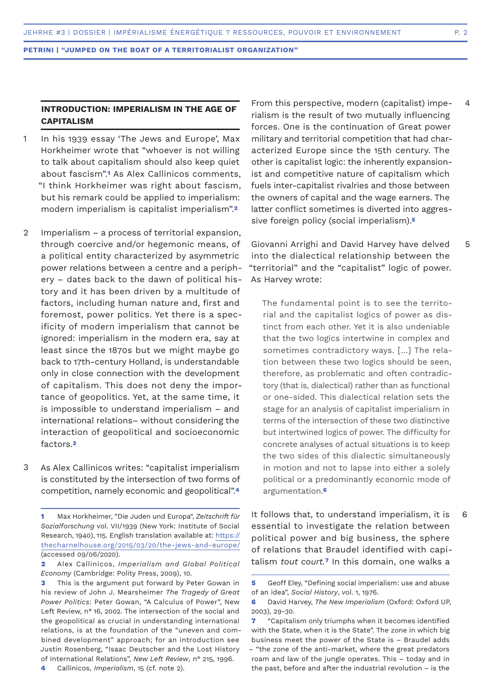# **INTRODUCTION: IMPERIALISM IN THE AGE OF CAPITALISM**

- In his 1939 essay 'The Jews and Europe', Max Horkheimer wrote that "whoever is not willing to talk about capitalism should also keep quiet about fascism".**1** As Alex Callinicos comments, "I think Horkheimer was right about fascism, but his remark could be applied to imperialism: modern imperialism is capitalist imperialism".**<sup>2</sup>** 1
- Imperialism a process of territorial expansion, through coercive and/or hegemonic means, of a political entity characterized by asymmetric power relations between a centre and a periphery – dates back to the dawn of political history and it has been driven by a multitude of factors, including human nature and, first and foremost, power politics. Yet there is a specificity of modern imperialism that cannot be ignored: imperialism in the modern era, say at least since the 1870s but we might maybe go back to 17th-century Holland, is understandable only in close connection with the development of capitalism. This does not deny the importance of geopolitics. Yet, at the same time, it is impossible to understand imperialism – and international relations– without considering the interaction of geopolitical and socioeconomic factors.**<sup>3</sup>** 2
- As Alex Callinicos writes: "capitalist imperialism is constituted by the intersection of two forms of competition, namely economic and geopolitical".**<sup>4</sup>** 3

From this perspective, modern (capitalist) imperialism is the result of two mutually influencing forces. One is the continuation of Great power military and territorial competition that had characterized Europe since the 15th century. The other is capitalist logic: the inherently expansionist and competitive nature of capitalism which fuels inter-capitalist rivalries and those between the owners of capital and the wage earners. The latter conflict sometimes is diverted into aggressive foreign policy (social imperialism).**<sup>5</sup>**

Giovanni Arrighi and David Harvey have delved into the dialectical relationship between the "territorial" and the "capitalist" logic of power. As Harvey wrote: 5

The fundamental point is to see the territorial and the capitalist logics of power as distinct from each other. Yet it is also undeniable that the two logics intertwine in complex and sometimes contradictory ways. […] The relation between these two logics should be seen, therefore, as problematic and often contradictory (that is, dialectical) rather than as functional or one-sided. This dialectical relation sets the stage for an analysis of capitalist imperialism in terms of the intersection of these two distinctive but intertwined logics of power. The difficulty for concrete analyses of actual situations is to keep the two sides of this dialectic simultaneously in motion and not to lapse into either a solely political or a predominantly economic mode of argumentation.**<sup>6</sup>**

It follows that, to understand imperialism, it is essential to investigate the relation between political power and big business, the sphere of relations that Braudel identified with capitalism *tout court.***7** In this domain, one walks a

4

6

**<sup>1</sup>** Max Horkheimer, "Die Juden und Europa", *Zeitschrift für Sozialforschung* vol. VII/1939 (New York: Institute of Social Research, 1940), 115. English translation available at: https:// thecharnelhouse.org/2015/03/20/the-jews-and-europe/ (accessed 09/06/2020).

**<sup>2</sup>** Alex Callinicos, *Imperialism and Global Political Economy* (Cambridge: Polity Press, 2009), 10.

**<sup>3</sup>** This is the argument put forward by Peter Gowan in his review of John J. Mearsheimer *The Tragedy of Great Power Politics*: Peter Gowan, "A Calculus of Power", New Left Review, n° 16, 2002. The intersection of the social and the geopolitical as crucial in understanding international relations, is at the foundation of the "uneven and combined development" approach; for an introduction see Justin Rosenberg, "Isaac Deutscher and the Lost History of International Relations", *New Left Review*, n° 215, 1996.

**<sup>4</sup>** Callinicos, *Imperialism*, 15 (cf. note 2).

**<sup>5</sup>** Geoff Eley, "Defining social imperialism: use and abuse of an idea", *Social History*, vol. 1, 1976.

**<sup>6</sup>** David Harvey, *The New Imperialism* (Oxford: Oxford UP, 2003), 29-30.

**<sup>7</sup>** "Capitalism only triumphs when it becomes identified with the State, when it is the State". The zone in which big business meet the power of the State is – Braudel adds – "the zone of the anti-market, where the great predators roam and law of the jungle operates. This – today and in the past, before and after the industrial revolution – is the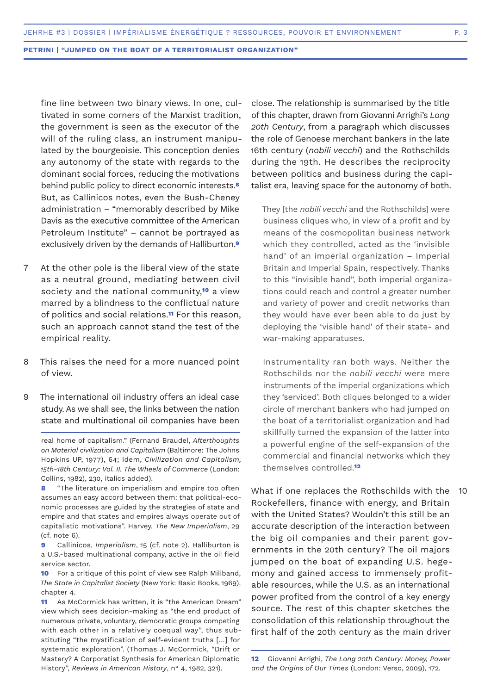fine line between two binary views. In one, cultivated in some corners of the Marxist tradition, the government is seen as the executor of the will of the ruling class, an instrument manipulated by the bourgeoisie. This conception denies any autonomy of the state with regards to the dominant social forces, reducing the motivations behind public policy to direct economic interests.**<sup>8</sup>** But, as Callinicos notes, even the Bush-Cheney administration – "memorably described by Mike Davis as the executive committee of the American Petroleum Institute" – cannot be portrayed as exclusively driven by the demands of Halliburton.**<sup>9</sup>**

- At the other pole is the liberal view of the state as a neutral ground, mediating between civil society and the national community,**10** a view marred by a blindness to the conflictual nature of politics and social relations.**11** For this reason, such an approach cannot stand the test of the empirical reality. 7
- This raises the need for a more nuanced point of view. 8
- The international oil industry offers an ideal case study. As we shall see, the links between the nation state and multinational oil companies have been 9

real home of capitalism." (Fernand Braudel, *Afterthoughts on Material civilization and Capitalism* (Baltimore: The Johns Hopkins UP, 1977), 64; Idem, *Civilization and Capitalism, 15th-18th Century: Vol. II. The Wheels of Commerce* (London: Collins, 1982), 230, italics added).

**8** "The literature on imperialism and empire too often assumes an easy accord between them: that political-economic processes are guided by the strategies of state and empire and that states and empires always operate out of capitalistic motivations". Harvey, *The New Imperialism*, 29 (cf. note 6).

**9** Callinicos, *Imperialism*, 15 (cf. note 2). Halliburton is a U.S.-based multinational company, active in the oil field service sector.

**10** For a critique of this point of view see Ralph Miliband, *The State in Capitalist Society* (New York: Basic Books, 1969), chapter 4.

**11** As McCormick has written, it is "the American Dream" view which sees decision-making as "the end product of numerous private, voluntary, democratic groups competing with each other in a relatively coequal way", thus substituting "the mystification of self-evident truths […] for systematic exploration". (Thomas J. McCormick, "Drift or Mastery? A Corporatist Synthesis for American Diplomatic History", *Reviews in American History*, n° 4, 1982, 321).

close. The relationship is summarised by the title of this chapter, drawn from Giovanni Arrighi's *Long 20th Century*, from a paragraph which discusses the role of Genoese merchant bankers in the late 16th century (*nobili vecchi*) and the Rothschilds during the 19th. He describes the reciprocity between politics and business during the capitalist era, leaving space for the autonomy of both.

They [the *nobili vecchi* and the Rothschilds] were business cliques who, in view of a profit and by means of the cosmopolitan business network which they controlled, acted as the 'invisible hand' of an imperial organization – Imperial Britain and Imperial Spain, respectively. Thanks to this "invisible hand", both imperial organizations could reach and control a greater number and variety of power and credit networks than they would have ever been able to do just by deploying the 'visible hand' of their state- and war-making apparatuses.

Instrumentality ran both ways. Neither the Rothschilds nor the *nobili vecchi* were mere instruments of the imperial organizations which they 'serviced'. Both cliques belonged to a wider circle of merchant bankers who had jumped on the boat of a territorialist organization and had skillfully turned the expansion of the latter into a powerful engine of the self-expansion of the commercial and financial networks which they themselves controlled.**<sup>12</sup>**

What if one replaces the Rothschilds with the Rockefellers, finance with energy, and Britain with the United States? Wouldn't this still be an accurate description of the interaction between the big oil companies and their parent governments in the 20th century? The oil majors jumped on the boat of expanding U.S. hegemony and gained access to immensely profitable resources, while the U.S. as an international power profited from the control of a key energy source. The rest of this chapter sketches the consolidation of this relationship throughout the first half of the 20th century as the main driver  $10$ 

**<sup>12</sup>** Giovanni Arrighi, *The Long 20th Century: Money, Power and the Origins of Our Times* (London: Verso, 2009), 172.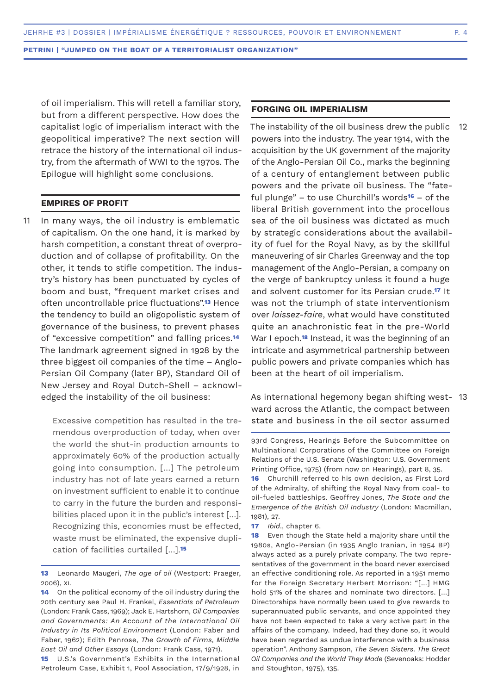of oil imperialism. This will retell a familiar story, but from a different perspective. How does the capitalist logic of imperialism interact with the geopolitical imperative? The next section will retrace the history of the international oil industry, from the aftermath of WWI to the 1970s. The Epilogue will highlight some conclusions.

# **EMPIRES OF PROFIT**

In many ways, the oil industry is emblematic of capitalism. On the one hand, it is marked by harsh competition, a constant threat of overproduction and of collapse of profitability. On the other, it tends to stifle competition. The industry's history has been punctuated by cycles of boom and bust, "frequent market crises and often uncontrollable price fluctuations".**13** Hence the tendency to build an oligopolistic system of governance of the business, to prevent phases of "excessive competition" and falling prices.**<sup>14</sup>** The landmark agreement signed in 1928 by the three biggest oil companies of the time – Anglo-Persian Oil Company (later BP), Standard Oil of New Jersey and Royal Dutch-Shell – acknowledged the instability of the oil business: 11

> Excessive competition has resulted in the tremendous overproduction of today, when over the world the shut-in production amounts to approximately 60% of the production actually going into consumption. […] The petroleum industry has not of late years earned a return on investment sufficient to enable it to continue to carry in the future the burden and responsibilities placed upon it in the public's interest [...]. Recognizing this, economies must be effected, waste must be eliminated, the expensive duplication of facilities curtailed […].**<sup>15</sup>**

**15** U.S.'s Government's Exhibits in the International Petroleum Case, Exhibit 1, Pool Association, 17/9/1928, in

# **FORGING OIL IMPERIALISM**

The instability of the oil business drew the public powers into the industry. The year 1914, with the acquisition by the UK government of the majority of the Anglo-Persian Oil Co., marks the beginning of a century of entanglement between public powers and the private oil business. The "fateful plunge" – to use Churchill's words**16** – of the liberal British government into the procellous sea of the oil business was dictated as much by strategic considerations about the availability of fuel for the Royal Navy, as by the skillful maneuvering of sir Charles Greenway and the top management of the Anglo-Persian, a company on the verge of bankruptcy unless it found a huge and solvent customer for its Persian crude.**17** It was not the triumph of state interventionism over *laissez-faire*, what would have constituted quite an anachronistic feat in the pre-World War I epoch.**18** Instead, it was the beginning of an intricate and asymmetrical partnership between public powers and private companies which has been at the heart of oil imperialism. 12

As international hegemony began shifting west-13ward across the Atlantic, the compact between state and business in the oil sector assumed

93rd Congress, Hearings Before the Subcommittee on Multinational Corporations of the Committee on Foreign Relations of the U.S. Senate (Washington: U.S. Government Printing Office, 1975) (from now on Hearings), part 8, 35. **16** Churchill referred to his own decision, as First Lord of the Admiralty, of shifting the Royal Navy from coal- to oil-fueled battleships. Geoffrey Jones, *The State and the Emergence of the British Oil Industry* (London: Macmillan, 1981), 27.

**17** *Ibid*., chapter 6.

**18** Even though the State held a majority share until the 1980s, Anglo-Persian (in 1935 Anglo Iranian, in 1954 BP) always acted as a purely private company. The two representatives of the government in the board never exercised an effective conditioning role. As reported in a 1951 memo for the Foreign Secretary Herbert Morrison: "[…] HMG hold 51% of the shares and nominate two directors. […] Directorships have normally been used to give rewards to superannuated public servants, and once appointed they have not been expected to take a very active part in the affairs of the company. Indeed, had they done so, it would have been regarded as undue interference with a business operation". Anthony Sampson, *The Seven Sisters. The Great Oil Companies and the World They Made* (Sevenoaks: Hodder and Stoughton, 1975), 135.

**<sup>13</sup>** Leonardo Maugeri, *The age of oil* (Westport: Praeger, 2006), xi.

**<sup>14</sup>** On the political economy of the oil industry during the 20th century see Paul H. Frankel, *Essentials of Petroleum*  (London: Frank Cass, 1969); Jack E. Hartshorn, *Oil Companies and Governments: An Account of the International Oil Industry in Its Political Environment* (London: Faber and Faber, 1962); Edith Penrose, *The Growth of Firms, Middle East Oil and Other Essays* (London: Frank Cass, 1971).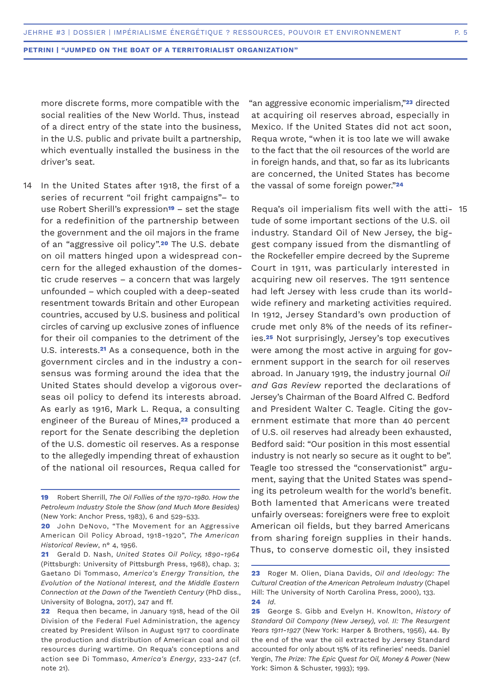more discrete forms, more compatible with the social realities of the New World. Thus, instead of a direct entry of the state into the business, in the U.S. public and private built a partnership, which eventually installed the business in the driver's seat.

In the United States after 1918, the first of a series of recurrent "oil fright campaigns"– to use Robert Sherill's expression**19** – set the stage for a redefinition of the partnership between the government and the oil majors in the frame of an "aggressive oil policy".**20** The U.S. debate on oil matters hinged upon a widespread concern for the alleged exhaustion of the domestic crude reserves – a concern that was largely unfounded – which coupled with a deep-seated resentment towards Britain and other European countries, accused by U.S. business and political circles of carving up exclusive zones of influence for their oil companies to the detriment of the U.S. interests.**21** As a consequence, both in the government circles and in the industry a consensus was forming around the idea that the United States should develop a vigorous overseas oil policy to defend its interests abroad. As early as 1916, Mark L. Requa, a consulting engineer of the Bureau of Mines,**22** produced a report for the Senate describing the depletion of the U.S. domestic oil reserves. As a response to the allegedly impending threat of exhaustion of the national oil resources, Requa called for 14

"an aggressive economic imperialism,"**23** directed at acquiring oil reserves abroad, especially in Mexico. If the United States did not act soon, Requa wrote, "when it is too late we will awake to the fact that the oil resources of the world are in foreign hands, and that, so far as its lubricants are concerned, the United States has become the vassal of some foreign power."**<sup>24</sup>**

Requa's oil imperialism fits well with the atti-15tude of some important sections of the U.S. oil industry. Standard Oil of New Jersey, the biggest company issued from the dismantling of the Rockefeller empire decreed by the Supreme Court in 1911, was particularly interested in acquiring new oil reserves. The 1911 sentence had left Jersey with less crude than its worldwide refinery and marketing activities required. In 1912, Jersey Standard's own production of crude met only 8% of the needs of its refineries.**25** Not surprisingly, Jersey's top executives were among the most active in arguing for government support in the search for oil reserves abroad. In January 1919, the industry journal *Oil and Gas Review* reported the declarations of Jersey's Chairman of the Board Alfred C. Bedford and President Walter C. Teagle. Citing the government estimate that more than 40 percent of U.S. oil reserves had already been exhausted, Bedford said: "Our position in this most essential industry is not nearly so secure as it ought to be". Teagle too stressed the "conservationist" argument, saying that the United States was spending its petroleum wealth for the world's benefit. Both lamented that Americans were treated unfairly overseas: foreigners were free to exploit American oil fields, but they barred Americans from sharing foreign supplies in their hands. Thus, to conserve domestic oil, they insisted

**<sup>19</sup>** Robert Sherrill, *The Oil Follies of the 1970-1980. How the Petroleum Industry Stole the Show (and Much More Besides)* (New York: Anchor Press, 1983), 6 and 529-533.

**<sup>20</sup>** John DeNovo, "The Movement for an Aggressive American Oil Policy Abroad, 1918-1920", *The American Historical Review*, n° 4, 1956.

**<sup>21</sup>** Gerald D. Nash, *United States Oil Policy, 1890-1964* (Pittsburgh: University of Pittsburgh Press, 1968), chap. 3; Gaetano Di Tommaso, *America's Energy Transition, the Evolution of the National Interest, and the Middle Eastern Connection at the Dawn of the Twentieth Century* (PhD diss., University of Bologna, 2017), 247 and ff.

**<sup>22</sup>** Requa then became, in January 1918, head of the Oil Division of the Federal Fuel Administration, the agency created by President Wilson in August 1917 to coordinate the production and distribution of American coal and oil resources during wartime. On Requa's conceptions and action see Di Tommaso, *America's Energy*, 233-247 (cf. note 21).

**<sup>23</sup>** Roger M. Olien, Diana Davids, *Oil and Ideology: The Cultural Creation of the American Petroleum Industry* (Chapel Hill: The University of North Carolina Press, 2000), 133. **24** *Id*.

**<sup>25</sup>** George S. Gibb and Evelyn H. Knowlton, *History of Standard Oil Company (New Jersey), vol. II: The Resurgent Years 1911-1927* (New York: Harper & Brothers, 1956), 44. By the end of the war the oil extracted by Jersey Standard accounted for only about 15% of its refineries' needs. Daniel Yergin, *The Prize: The Epic Quest for Oil, Money & Power* (New York: Simon & Schuster, 1993); 199.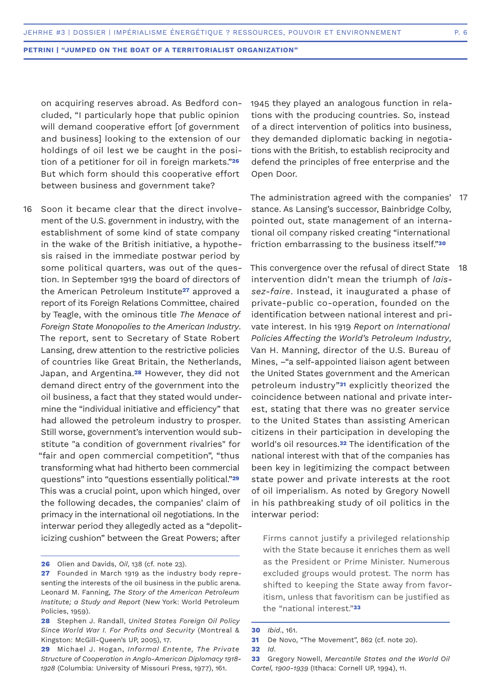on acquiring reserves abroad. As Bedford concluded, "I particularly hope that public opinion will demand cooperative effort [of government and business] looking to the extension of our holdings of oil lest we be caught in the position of a petitioner for oil in foreign markets."**<sup>26</sup>** But which form should this cooperative effort between business and government take?

16 Soon it became clear that the direct involvement of the U.S. government in industry, with the establishment of some kind of state company in the wake of the British initiative, a hypothesis raised in the immediate postwar period by some political quarters, was out of the question. In September 1919 the board of directors of the American Petroleum Institute**27** approved a report of its Foreign Relations Committee, chaired by Teagle, with the ominous title *The Menace of Foreign State Monopolies to the American Industry*. The report, sent to Secretary of State Robert Lansing, drew attention to the restrictive policies of countries like Great Britain, the Netherlands, Japan, and Argentina.**28** However, they did not demand direct entry of the government into the oil business, a fact that they stated would undermine the "individual initiative and efficiency" that had allowed the petroleum industry to prosper. Still worse, government's intervention would substitute "a condition of government rivalries" for "fair and open commercial competition", "thus transforming what had hitherto been commercial questions" into "questions essentially political."**<sup>29</sup>** This was a crucial point, upon which hinged, over the following decades, the companies' claim of primacy in the international oil negotiations. In the interwar period they allegedly acted as a "depoliticizing cushion" between the Great Powers; after

1945 they played an analogous function in relations with the producing countries. So, instead of a direct intervention of politics into business, they demanded diplomatic backing in negotiations with the British, to establish reciprocity and defend the principles of free enterprise and the Open Door.

The administration agreed with the companies' 17 stance. As Lansing's successor, Bainbridge Colby, pointed out, state management of an international oil company risked creating "international friction embarrassing to the business itself."**<sup>30</sup>**

This convergence over the refusal of direct State intervention didn't mean the triumph of *laissez-faire*. Instead, it inaugurated a phase of private-public co-operation, founded on the identification between national interest and private interest. In his 1919 *Report on International Policies Affecting the World's Petroleum Industry*, Van H. Manning, director of the U.S. Bureau of Mines, –"a self-appointed liaison agent between the United States government and the American petroleum industry"**31** explicitly theorized the coincidence between national and private interest, stating that there was no greater service to the United States than assisting American citizens in their participation in developing the world's oil resources.**32** The identification of the national interest with that of the companies has been key in legitimizing the compact between state power and private interests at the root of oil imperialism. As noted by Gregory Nowell in his pathbreaking study of oil politics in the interwar period: 18

Firms cannot justify a privileged relationship with the State because it enriches them as well as the President or Prime Minister. Numerous excluded groups would protest. The norm has shifted to keeping the State away from favoritism, unless that favoritism can be justified as the "national interest."**<sup>33</sup>**

**<sup>26</sup>** Olien and Davids, *Oil*, 138 (cf. note 23).

**<sup>27</sup>** Founded in March 1919 as the industry body representing the interests of the oil business in the public arena. Leonard M. Fanning, *The Story of the American Petroleum Institute; a Study and Report* (New York: World Petroleum Policies, 1959).

**<sup>28</sup>** Stephen J. Randall, *United States Foreign Oil Policy Since World War I. For Profits and Security* (Montreal & Kingston: McGill-Queen's UP, 2005), 17.

**<sup>29</sup>** Michael J. Hogan, *Informal Entente, The Private Structure of Cooperation in Anglo-American Diplomacy 1918- 1928* (Columbia: University of Missouri Press, 1977), 161.

**<sup>30</sup>** *Ibid*., 161.

**<sup>31</sup>** De Novo, "The Movement", 862 (cf. note 20).

**<sup>32</sup>** *Id*.

**<sup>33</sup>** Gregory Nowell, *Mercantile States and the World Oil Cartel, 1900-1939* (Ithaca: Cornell UP, 1994), 11.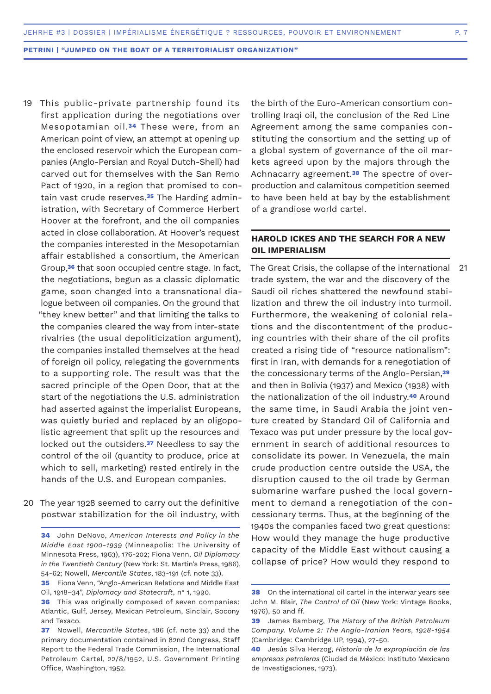- 19 This public-private partnership found its first application during the negotiations over Mesopotamian oil.**34** These were, from an American point of view, an attempt at opening up the enclosed reservoir which the European companies (Anglo-Persian and Royal Dutch-Shell) had carved out for themselves with the San Remo Pact of 1920, in a region that promised to contain vast crude reserves.**35** The Harding administration, with Secretary of Commerce Herbert Hoover at the forefront, and the oil companies acted in close collaboration. At Hoover's request the companies interested in the Mesopotamian affair established a consortium, the American Group,**36** that soon occupied centre stage. In fact, the negotiations, begun as a classic diplomatic game, soon changed into a transnational dialogue between oil companies. On the ground that "they knew better" and that limiting the talks to the companies cleared the way from inter-state rivalries (the usual depoliticization argument), the companies installed themselves at the head of foreign oil policy, relegating the governments to a supporting role. The result was that the sacred principle of the Open Door, that at the start of the negotiations the U.S. administration had asserted against the imperialist Europeans, was quietly buried and replaced by an oligopolistic agreement that split up the resources and locked out the outsiders.**37** Needless to say the control of the oil (quantity to produce, price at which to sell, marketing) rested entirely in the hands of the U.S. and European companies.
- 20 The year 1928 seemed to carry out the definitive postwar stabilization for the oil industry, with

**35** Fiona Venn, "Anglo-American Relations and Middle East Oil, 1918–34", *Diplomacy and Statecraft*, n° 1, 1990.

the birth of the Euro-American consortium controlling Iraqi oil, the conclusion of the Red Line Agreement among the same companies constituting the consortium and the setting up of a global system of governance of the oil markets agreed upon by the majors through the Achnacarry agreement.**38** The spectre of overproduction and calamitous competition seemed to have been held at bay by the establishment of a grandiose world cartel.

# **HAROLD ICKES AND THE SEARCH FOR A NEW OIL IMPERIALISM**

The Great Crisis, the collapse of the international trade system, the war and the discovery of the Saudi oil riches shattered the newfound stabilization and threw the oil industry into turmoil. Furthermore, the weakening of colonial relations and the discontentment of the producing countries with their share of the oil profits created a rising tide of "resource nationalism": first in Iran, with demands for a renegotiation of the concessionary terms of the Anglo-Persian,**<sup>39</sup>** and then in Bolivia (1937) and Mexico (1938) with the nationalization of the oil industry.**40** Around the same time, in Saudi Arabia the joint venture created by Standard Oil of California and Texaco was put under pressure by the local government in search of additional resources to consolidate its power. In Venezuela, the main crude production centre outside the USA, the disruption caused to the oil trade by German submarine warfare pushed the local government to demand a renegotiation of the concessionary terms. Thus, at the beginning of the 1940s the companies faced two great questions: How would they manage the huge productive capacity of the Middle East without causing a collapse of price? How would they respond to 21

**<sup>34</sup>** John DeNovo, *American Interests and Policy in the Middle East 1900-1939* (Minneapolis: The University of Minnesota Press, 1963), 176-202; Fiona Venn, *Oil Diplomacy in the Twentieth Century* (New York: St. Martin's Press, 1986), 54-62; Nowell, *Mercantile States*, 183-191 (cf. note 33).

**<sup>36</sup>** This was originally composed of seven companies: Atlantic, Gulf, Jersey, Mexican Petroleum, Sinclair, Socony and Texaco.

**<sup>37</sup>** Nowell, *Mercantile States*, 186 (cf. note 33) and the primary documentation contained in 82nd Congress, Staff Report to the Federal Trade Commission, The International Petroleum Cartel, 22/8/1952, U.S. Government Printing Office, Washington, 1952.

**<sup>38</sup>** On the international oil cartel in the interwar vears see John M. Blair, *The Control of Oil* (New York: Vintage Books, 1976), 50 and ff.

**<sup>39</sup>** James Bamberg, *The History of the British Petroleum Company. Volume 2: The Anglo-Iranian Years, 1928-1954* (Cambridge: Cambridge UP, 1994), 27-50.

**<sup>40</sup>** Jesús Silva Herzog, *Historia de la expropiación de las empresas petroleras* (Ciudad de México: Instituto Mexicano de Investigaciones, 1973).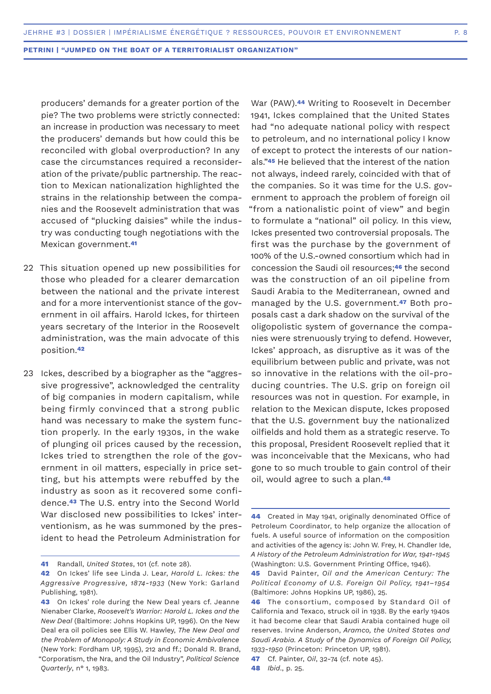producers' demands for a greater portion of the pie? The two problems were strictly connected: an increase in production was necessary to meet the producers' demands but how could this be reconciled with global overproduction? In any case the circumstances required a reconsideration of the private/public partnership. The reaction to Mexican nationalization highlighted the strains in the relationship between the companies and the Roosevelt administration that was accused of "plucking daisies" while the industry was conducting tough negotiations with the Mexican government.**<sup>41</sup>**

- 22 This situation opened up new possibilities for those who pleaded for a clearer demarcation between the national and the private interest and for a more interventionist stance of the government in oil affairs. Harold Ickes, for thirteen years secretary of the Interior in the Roosevelt administration, was the main advocate of this position.**<sup>42</sup>**
- Ickes, described by a biographer as the "aggres-23sive progressive", acknowledged the centrality of big companies in modern capitalism, while being firmly convinced that a strong public hand was necessary to make the system function properly. In the early 1930s, in the wake of plunging oil prices caused by the recession, Ickes tried to strengthen the role of the government in oil matters, especially in price setting, but his attempts were rebuffed by the industry as soon as it recovered some confidence.**43** The U.S. entry into the Second World War disclosed new possibilities to Ickes' interventionism, as he was summoned by the president to head the Petroleum Administration for

War (PAW).**44** Writing to Roosevelt in December 1941, Ickes complained that the United States had "no adequate national policy with respect to petroleum, and no international policy I know of except to protect the interests of our nationals."**45** He believed that the interest of the nation not always, indeed rarely, coincided with that of the companies. So it was time for the U.S. government to approach the problem of foreign oil "from a nationalistic point of view" and begin to formulate a "national" oil policy. In this view, Ickes presented two controversial proposals. The first was the purchase by the government of 100% of the U.S.-owned consortium which had in concession the Saudi oil resources;**46** the second was the construction of an oil pipeline from Saudi Arabia to the Mediterranean, owned and managed by the U.S. government.**47** Both proposals cast a dark shadow on the survival of the oligopolistic system of governance the companies were strenuously trying to defend. However, Ickes' approach, as disruptive as it was of the equilibrium between public and private, was not so innovative in the relations with the oil-producing countries. The U.S. grip on foreign oil resources was not in question. For example, in relation to the Mexican dispute, Ickes proposed that the U.S. government buy the nationalized oilfields and hold them as a strategic reserve. To this proposal, President Roosevelt replied that it was inconceivable that the Mexicans, who had gone to so much trouble to gain control of their oil, would agree to such a plan.**<sup>48</sup>**

**<sup>41</sup>** Randall, *United States*, 101 (cf. note 28).

**<sup>42</sup>** On Ickes' life see Linda J. Lear, *Harold L. Ickes: the Aggressive Progressive, 1874-1933* (New York: Garland Publishing, 1981).

**<sup>43</sup>** On Ickes' role during the New Deal years cf. Jeanne Nienaber Clarke, *Roosevelt's Warrior: Harold L. Ickes and the New Deal* (Baltimore: Johns Hopkins UP, 1996). On the New Deal era oil policies see Ellis W. Hawley, *The New Deal and the Problem of Monopoly: A Study in Economic Ambivalence*  (New York: Fordham UP, 1995), 212 and ff.; Donald R. Brand, "Corporatism, the Nra, and the Oil Industry", *Political Science Quarterly*, n° 1, 1983.

**<sup>44</sup>** Created in May 1941, originally denominated Office of Petroleum Coordinator, to help organize the allocation of fuels. A useful source of information on the composition and activities of the agency is: John W. Frey, H. Chandler Ide, *A History of the Petroleum Administration for War, 1941-1945*  (Washington: U.S. Government Printing Office, 1946).

**<sup>45</sup>** David Painter, *Oil and the American Century: The Political Economy of U.S. Foreign Oil Policy, 1941–1954* (Baltimore: Johns Hopkins UP, 1986), 25.

**<sup>46</sup>** The consortium, composed by Standard Oil of California and Texaco, struck oil in 1938. By the early 1940s it had become clear that Saudi Arabia contained huge oil reserves. Irvine Anderson, *Aramco, the United States and Saudi Arabia. A Study of the Dynamics of Foreign Oil Policy, 1933-1950* (Princeton: Princeton UP, 1981).

**<sup>47</sup>** Cf. Painter, *Oil*, 32-74 (cf. note 45).

**<sup>48</sup>** *Ibid*., p. 25.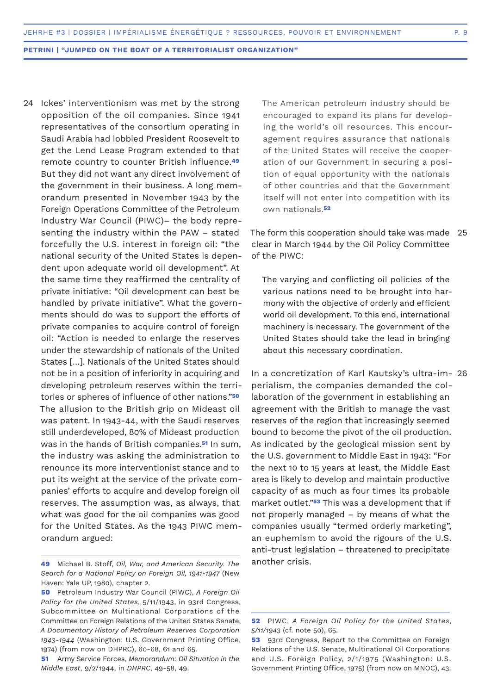24 Ickes' interventionism was met by the strong opposition of the oil companies. Since 1941 representatives of the consortium operating in Saudi Arabia had lobbied President Roosevelt to get the Lend Lease Program extended to that remote country to counter British influence.**<sup>49</sup>** But they did not want any direct involvement of the government in their business. A long memorandum presented in November 1943 by the Foreign Operations Committee of the Petroleum Industry War Council (PIWC)– the body representing the industry within the PAW – stated forcefully the U.S. interest in foreign oil: "the national security of the United States is dependent upon adequate world oil development". At the same time they reaffirmed the centrality of private initiative: "Oil development can best be handled by private initiative". What the governments should do was to support the efforts of private companies to acquire control of foreign oil: "Action is needed to enlarge the reserves under the stewardship of nationals of the United States […]. Nationals of the United States should not be in a position of inferiority in acquiring and developing petroleum reserves within the territories or spheres of influence of other nations."**<sup>50</sup>** The allusion to the British grip on Mideast oil was patent. In 1943-44, with the Saudi reserves still underdeveloped, 80% of Mideast production was in the hands of British companies.**51** In sum, the industry was asking the administration to renounce its more interventionist stance and to put its weight at the service of the private companies' efforts to acquire and develop foreign oil reserves. The assumption was, as always, that what was good for the oil companies was good for the United States. As the 1943 PIWC memorandum argued:

The American petroleum industry should be encouraged to expand its plans for developing the world's oil resources. This encouragement requires assurance that nationals of the United States will receive the cooperation of our Government in securing a position of equal opportunity with the nationals of other countries and that the Government itself will not enter into competition with its own nationals.**<sup>52</sup>**

The form this cooperation should take was made 25 clear in March 1944 by the Oil Policy Committee of the PIWC:

The varying and conflicting oil policies of the various nations need to be brought into harmony with the objective of orderly and efficient world oil development. To this end, international machinery is necessary. The government of the United States should take the lead in bringing about this necessary coordination.

In a concretization of Karl Kautsky's ultra-im-26perialism, the companies demanded the collaboration of the government in establishing an agreement with the British to manage the vast reserves of the region that increasingly seemed bound to become the pivot of the oil production. As indicated by the geological mission sent by the U.S. government to Middle East in 1943: "For the next 10 to 15 years at least, the Middle East area is likely to develop and maintain productive capacity of as much as four times its probable market outlet."**53** This was a development that if not properly managed – by means of what the companies usually "termed orderly marketing", an euphemism to avoid the rigours of the U.S. anti-trust legislation – threatened to precipitate another crisis.

**<sup>49</sup>** Michael B. Stoff, *Oil, War, and American Security. The Search for a National Policy on Foreign Oil, 1941-1947* (New Haven: Yale UP, 1980), chapter 2.

**<sup>50</sup>** Petroleum Industry War Council (PIWC), *A Foreign Oil Policy for the United States*, 5/11/1943, in 93rd Congress, Subcommittee on Multinational Corporations of the Committee on Foreign Relations of the United States Senate, *A Documentary History of Petroleum Reserves Corporation 1943-1944* (Washington: U.S. Government Printing Office, 1974) (from now on DHPRC), 60-68, 61 and 65.

**<sup>51</sup>** Army Service Forces, *Memorandum: Oil Situation in the Middle East*, 9/2/1944, in *DHPRC*, 49-58, 49.

**<sup>52</sup>** PIWC, *A Foreign Oil Policy for the United States, 5/11/1943* (cf. note 50), 65.

**<sup>53</sup>** 93rd Congress, Report to the Committee on Foreign Relations of the U.S. Senate, Multinational Oil Corporations and U.S. Foreign Policy, 2/1/1975 (Washington: U.S. Government Printing Office, 1975) (from now on MNOC), 43.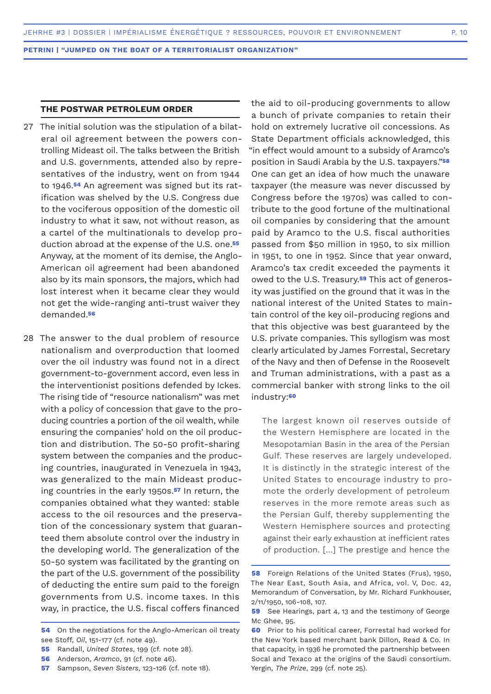# **THE POSTWAR PETROLEUM ORDER**

- The initial solution was the stipulation of a bilat-27 eral oil agreement between the powers controlling Mideast oil. The talks between the British and U.S. governments, attended also by representatives of the industry, went on from 1944 to 1946.**54** An agreement was signed but its ratification was shelved by the U.S. Congress due to the vociferous opposition of the domestic oil industry to what it saw, not without reason, as a cartel of the multinationals to develop production abroad at the expense of the U.S. one.**<sup>55</sup>** Anyway, at the moment of its demise, the Anglo-American oil agreement had been abandoned also by its main sponsors, the majors, which had lost interest when it became clear they would not get the wide-ranging anti-trust waiver they demanded.**<sup>56</sup>**
- 28 The answer to the dual problem of resource nationalism and overproduction that loomed over the oil industry was found not in a direct government-to-government accord, even less in the interventionist positions defended by Ickes. The rising tide of "resource nationalism" was met with a policy of concession that gave to the producing countries a portion of the oil wealth, while ensuring the companies' hold on the oil production and distribution. The 50-50 profit-sharing system between the companies and the producing countries, inaugurated in Venezuela in 1943, was generalized to the main Mideast producing countries in the early 1950s.**57** In return, the companies obtained what they wanted: stable access to the oil resources and the preservation of the concessionary system that guaranteed them absolute control over the industry in the developing world. The generalization of the 50-50 system was facilitated by the granting on the part of the U.S. government of the possibility of deducting the entire sum paid to the foreign governments from U.S. income taxes. In this way, in practice, the U.S. fiscal coffers financed

- **55** Randall, *United States*, 199 (cf. note 28).
- **56** Anderson, *Aramco*, 91 (cf. note 46).
- **57** Sampson, *Seven Sisters*, 123-126 (cf. note 18).

the aid to oil-producing governments to allow a bunch of private companies to retain their hold on extremely lucrative oil concessions. As State Department officials acknowledged, this "in effect would amount to a subsidy of Aramco's position in Saudi Arabia by the U.S. taxpayers."**<sup>58</sup>** One can get an idea of how much the unaware taxpayer (the measure was never discussed by Congress before the 1970s) was called to contribute to the good fortune of the multinational oil companies by considering that the amount paid by Aramco to the U.S. fiscal authorities passed from \$50 million in 1950, to six million in 1951, to one in 1952. Since that year onward, Aramco's tax credit exceeded the payments it owed to the U.S. Treasury.**59** This act of generosity was justified on the ground that it was in the national interest of the United States to maintain control of the key oil-producing regions and that this objective was best guaranteed by the U.S. private companies. This syllogism was most clearly articulated by James Forrestal, Secretary of the Navy and then of Defense in the Roosevelt and Truman administrations, with a past as a commercial banker with strong links to the oil industry:**<sup>60</sup>**

The largest known oil reserves outside of the Western Hemisphere are located in the Mesopotamian Basin in the area of the Persian Gulf. These reserves are largely undeveloped. It is distinctly in the strategic interest of the United States to encourage industry to promote the orderly development of petroleum reserves in the more remote areas such as the Persian Gulf, thereby supplementing the Western Hemisphere sources and protecting against their early exhaustion at inefficient rates of production. […] The prestige and hence the

**<sup>54</sup>** On the negotiations for the Anglo-American oil treaty see Stoff, *Oil*, 151-177 (cf. note 49).

**<sup>58</sup>** Foreign Relations of the United States (Frus), 1950, The Near East, South Asia, and Africa, vol. V, Doc. 42, Memorandum of Conversation, by Mr. Richard Funkhouser, 2/11/1950, 106-108, 107.

**<sup>59</sup>** See Hearings, part 4, 13 and the testimony of George Mc Ghee, 95.

**<sup>60</sup>** Prior to his political career, Forrestal had worked for the New York based merchant bank Dillon, Read & Co. In that capacity, in 1936 he promoted the partnership between Socal and Texaco at the origins of the Saudi consortium. Yergin, *The Prize*, 299 (cf. note 25).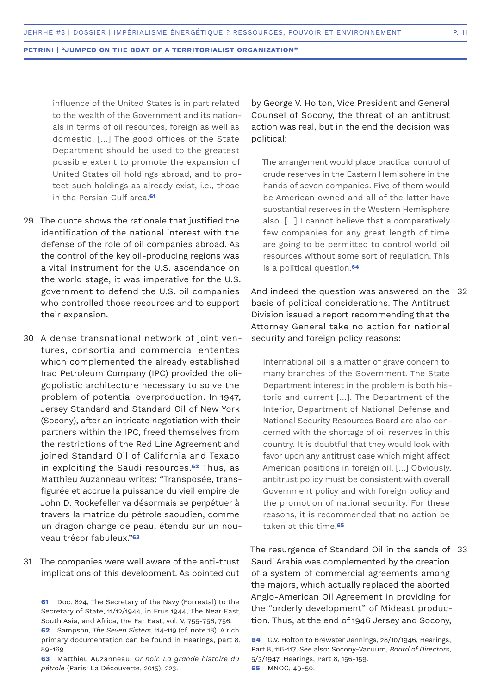influence of the United States is in part related to the wealth of the Government and its nationals in terms of oil resources, foreign as well as domestic. […] The good offices of the State Department should be used to the greatest possible extent to promote the expansion of United States oil holdings abroad, and to protect such holdings as already exist, i.e., those in the Persian Gulf area.**<sup>61</sup>**

- 29 The quote shows the rationale that justified the identification of the national interest with the defense of the role of oil companies abroad. As the control of the key oil-producing regions was a vital instrument for the U.S. ascendance on the world stage, it was imperative for the U.S. government to defend the U.S. oil companies who controlled those resources and to support their expansion.
- 30 A dense transnational network of joint ventures, consortia and commercial ententes which complemented the already established Iraq Petroleum Company (IPC) provided the oligopolistic architecture necessary to solve the problem of potential overproduction. In 1947, Jersey Standard and Standard Oil of New York (Socony), after an intricate negotiation with their partners within the IPC, freed themselves from the restrictions of the Red Line Agreement and joined Standard Oil of California and Texaco in exploiting the Saudi resources.**62** Thus, as Matthieu Auzanneau writes: "Transposée, transfigurée et accrue la puissance du vieil empire de John D. Rockefeller va désormais se perpétuer à travers la matrice du pétrole saoudien, comme un dragon change de peau, étendu sur un nouveau trésor fabuleux."**<sup>63</sup>**
- 31 The companies were well aware of the anti-trust implications of this development. As pointed out

by George V. Holton, Vice President and General Counsel of Socony, the threat of an antitrust action was real, but in the end the decision was political:

The arrangement would place practical control of crude reserves in the Eastern Hemisphere in the hands of seven companies. Five of them would be American owned and all of the latter have substantial reserves in the Western Hemisphere also. […] I cannot believe that a comparatively few companies for any great length of time are going to be permitted to control world oil resources without some sort of regulation. This is a political question.**<sup>64</sup>**

And indeed the question was answered on the 32 basis of political considerations. The Antitrust Division issued a report recommending that the Attorney General take no action for national security and foreign policy reasons:

International oil is a matter of grave concern to many branches of the Government. The State Department interest in the problem is both historic and current […]. The Department of the Interior, Department of National Defense and National Security Resources Board are also concerned with the shortage of oil reserves in this country. It is doubtful that they would look with favor upon any antitrust case which might affect American positions in foreign oil. […] Obviously, antitrust policy must be consistent with overall Government policy and with foreign policy and the promotion of national security. For these reasons, it is recommended that no action be taken at this time.**<sup>65</sup>**

The resurgence of Standard Oil in the sands of 33Saudi Arabia was complemented by the creation of a system of commercial agreements among the majors, which actually replaced the aborted Anglo-American Oil Agreement in providing for the "orderly development" of Mideast production. Thus, at the end of 1946 Jersey and Socony,

**<sup>61</sup>** Doc. 824, The Secretary of the Navy (Forrestal) to the Secretary of State, 11/12/1944, in Frus 1944, The Near East, South Asia, and Africa, the Far East, vol. V, 755-756, 756. **62** Sampson, *The Seven Sisters*, 114-119 (cf. note 18). A rich

primary documentation can be found in Hearings, part 8, 89-169.

**<sup>63</sup>** Matthieu Auzanneau, *Or noir. La grande histoire du pétrole* (Paris: La Découverte, 2015), 223.

**<sup>64</sup>** G.V. Holton to Brewster Jennings, 28/10/1946, Hearings, Part 8, 116-117. See also: Socony-Vacuum, *Board of Directors*, 5/3/1947, Hearings, Part 8, 156-159. **65** MNOC, 49-50.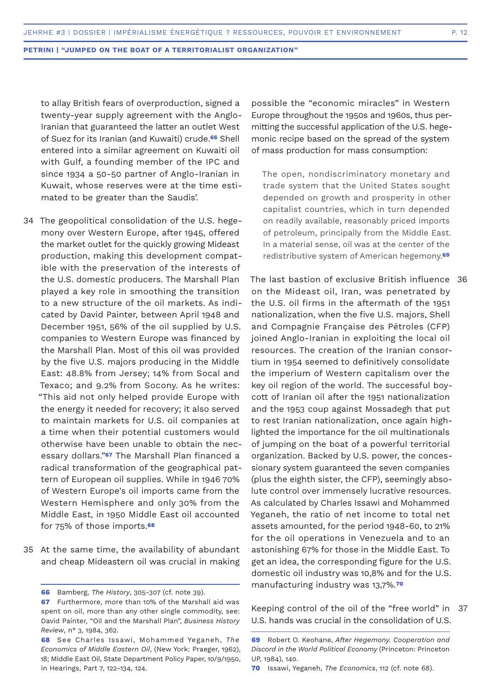to allay British fears of overproduction, signed a twenty-year supply agreement with the Anglo-Iranian that guaranteed the latter an outlet West of Suez for its Iranian (and Kuwaiti) crude.**66** Shell entered into a similar agreement on Kuwaiti oil with Gulf, a founding member of the IPC and since 1934 a 50-50 partner of Anglo-Iranian in Kuwait, whose reserves were at the time estimated to be greater than the Saudis'.

- The geopolitical consolidation of the U.S. hege-34 mony over Western Europe, after 1945, offered the market outlet for the quickly growing Mideast production, making this development compatible with the preservation of the interests of the U.S. domestic producers. The Marshall Plan played a key role in smoothing the transition to a new structure of the oil markets. As indicated by David Painter, between April 1948 and December 1951, 56% of the oil supplied by U.S. companies to Western Europe was financed by the Marshall Plan. Most of this oil was provided by the five U.S. majors producing in the Middle East: 48.8% from Jersey; 14% from Socal and Texaco; and 9.2% from Socony. As he writes: "This aid not only helped provide Europe with the energy it needed for recovery; it also served to maintain markets for U.S. oil companies at a time when their potential customers would otherwise have been unable to obtain the necessary dollars."**67** The Marshall Plan financed a radical transformation of the geographical pattern of European oil supplies. While in 1946 70% of Western Europe's oil imports came from the Western Hemisphere and only 30% from the Middle East, in 1950 Middle East oil accounted for 75% of those imports.**<sup>68</sup>**
- 35 At the same time, the availability of abundant and cheap Mideastern oil was crucial in making

possible the "economic miracles" in Western Europe throughout the 1950s and 1960s, thus permitting the successful application of the U.S. hegemonic recipe based on the spread of the system of mass production for mass consumption:

The open, nondiscriminatory monetary and trade system that the United States sought depended on growth and prosperity in other capitalist countries, which in turn depended on readily available, reasonably priced imports of petroleum, principally from the Middle East. In a material sense, oil was at the center of the redistributive system of American hegemony.**<sup>69</sup>**

The last bastion of exclusive British influence 36 on the Mideast oil, Iran, was penetrated by the U.S. oil firms in the aftermath of the 1951 nationalization, when the five U.S. majors, Shell and Compagnie Française des Pétroles (CFP) joined Anglo-Iranian in exploiting the local oil resources. The creation of the Iranian consortium in 1954 seemed to definitively consolidate the imperium of Western capitalism over the key oil region of the world. The successful boycott of Iranian oil after the 1951 nationalization and the 1953 coup against Mossadegh that put to rest Iranian nationalization, once again highlighted the importance for the oil multinationals of jumping on the boat of a powerful territorial organization. Backed by U.S. power, the concessionary system guaranteed the seven companies (plus the eighth sister, the CFP), seemingly absolute control over immensely lucrative resources. As calculated by Charles Issawi and Mohammed Yeganeh, the ratio of net income to total net assets amounted, for the period 1948-60, to 21% for the oil operations in Venezuela and to an astonishing 67% for those in the Middle East. To get an idea, the corresponding figure for the U.S. domestic oil industry was 10,8% and for the U.S. manufacturing industry was 13,7%.**<sup>70</sup>**

Keeping control of the oil of the "free world" in U.S. hands was crucial in the consolidation of U.S. 37

**<sup>66</sup>** Bamberg, *The History*, 305-307 (cf. note 39).

**<sup>67</sup>** Furthermore, more than 10% of the Marshall aid was spent on oil, more than any other single commodity, see: David Painter, "Oil and the Marshall Plan", *Business History Review*, n° 3, 1984, 362.

**<sup>68</sup>** See Charles Issawi, Mohammed Yeganeh, *The Economics of Middle Eastern Oil*, (New York: Praeger, 1962), 18; Middle East Oil, State Department Policy Paper, 10/9/1950, in Hearings, Part 7, 122-134, 124.

**<sup>69</sup>** Robert O. Keohane, *After Hegemony. Cooperation and Discord in the World Political Economy* (Princeton: Princeton UP, 1984), 140.

**<sup>70</sup>** Issawi, Yeganeh, *The Economics*, 112 (cf. note 68).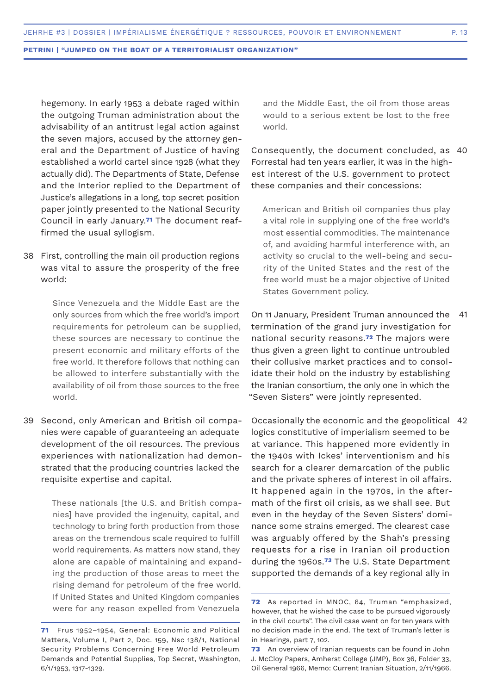hegemony. In early 1953 a debate raged within the outgoing Truman administration about the advisability of an antitrust legal action against the seven majors, accused by the attorney general and the Department of Justice of having established a world cartel since 1928 (what they actually did). The Departments of State, Defense and the Interior replied to the Department of Justice's allegations in a long, top secret position paper jointly presented to the National Security Council in early January.**71** The document reaffirmed the usual syllogism.

First, controlling the main oil production regions 38 was vital to assure the prosperity of the free world:

> Since Venezuela and the Middle East are the only sources from which the free world's import requirements for petroleum can be supplied, these sources are necessary to continue the present economic and military efforts of the free world. It therefore follows that nothing can be allowed to interfere substantially with the availability of oil from those sources to the free world.

Second, only American and British oil compa-39 nies were capable of guaranteeing an adequate development of the oil resources. The previous experiences with nationalization had demonstrated that the producing countries lacked the requisite expertise and capital.

> These nationals [the U.S. and British companies] have provided the ingenuity, capital, and technology to bring forth production from those areas on the tremendous scale required to fulfill world requirements. As matters now stand, they alone are capable of maintaining and expanding the production of those areas to meet the rising demand for petroleum of the free world. If United States and United Kingdom companies were for any reason expelled from Venezuela

and the Middle East, the oil from those areas would to a serious extent be lost to the free world.

Consequently, the document concluded, as 40 Forrestal had ten years earlier, it was in the highest interest of the U.S. government to protect these companies and their concessions:

American and British oil companies thus play a vital role in supplying one of the free world's most essential commodities. The maintenance of, and avoiding harmful interference with, an activity so crucial to the well-being and security of the United States and the rest of the free world must be a major objective of United States Government policy.

On 11 January, President Truman announced the termination of the grand jury investigation for national security reasons.**72** The majors were thus given a green light to continue untroubled their collusive market practices and to consolidate their hold on the industry by establishing the Iranian consortium, the only one in which the "Seven Sisters" were jointly represented. 41

Occasionally the economic and the geopolitical 42logics constitutive of imperialism seemed to be at variance. This happened more evidently in the 1940s with Ickes' interventionism and his search for a clearer demarcation of the public and the private spheres of interest in oil affairs. It happened again in the 1970s, in the aftermath of the first oil crisis, as we shall see. But even in the heyday of the Seven Sisters' dominance some strains emerged. The clearest case was arguably offered by the Shah's pressing requests for a rise in Iranian oil production during the 1960s.**73** The U.S. State Department supported the demands of a key regional ally in

**<sup>71</sup>** Frus 1952–1954, General: Economic and Political Matters, Volume I, Part 2, Doc. 159, Nsc 138/1, National Security Problems Concerning Free World Petroleum Demands and Potential Supplies, Top Secret, Washington, 6/1/1953, 1317-1329.

**<sup>72</sup>** As reported in MNOC, 64, Truman "emphasized, however, that he wished the case to be pursued vigorously in the civil courts". The civil case went on for ten years with no decision made in the end. The text of Truman's letter is in Hearings, part 7, 102.

**<sup>73</sup>** An overview of Iranian requests can be found in John J. McCloy Papers, Amherst College (JMP), Box 36, Folder 33, Oil General 1966, Memo: Current Iranian Situation, 2/11/1966.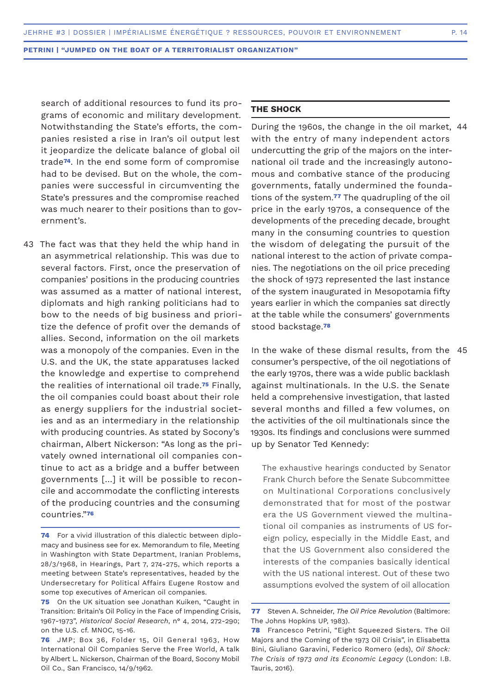search of additional resources to fund its programs of economic and military development. Notwithstanding the State's efforts, the companies resisted a rise in Iran's oil output lest it jeopardize the delicate balance of global oil trade**74**. In the end some form of compromise had to be devised. But on the whole, the companies were successful in circumventing the State's pressures and the compromise reached was much nearer to their positions than to government's.

43 The fact was that they held the whip hand in an asymmetrical relationship. This was due to several factors. First, once the preservation of companies' positions in the producing countries was assumed as a matter of national interest, diplomats and high ranking politicians had to bow to the needs of big business and prioritize the defence of profit over the demands of allies. Second, information on the oil markets was a monopoly of the companies. Even in the U.S. and the UK, the state apparatuses lacked the knowledge and expertise to comprehend the realities of international oil trade.**75** Finally, the oil companies could boast about their role as energy suppliers for the industrial societies and as an intermediary in the relationship with producing countries. As stated by Socony's chairman, Albert Nickerson: "As long as the privately owned international oil companies continue to act as a bridge and a buffer between governments […] it will be possible to reconcile and accommodate the conflicting interests of the producing countries and the consuming countries."**<sup>76</sup>**

# **THE SHOCK**

During the 1960s, the change in the oil market, 44 with the entry of many independent actors undercutting the grip of the majors on the international oil trade and the increasingly autonomous and combative stance of the producing governments, fatally undermined the foundations of the system.**77** The quadrupling of the oil price in the early 1970s, a consequence of the developments of the preceding decade, brought many in the consuming countries to question the wisdom of delegating the pursuit of the national interest to the action of private companies. The negotiations on the oil price preceding the shock of 1973 represented the last instance of the system inaugurated in Mesopotamia fifty years earlier in which the companies sat directly at the table while the consumers' governments stood backstage.**<sup>78</sup>**

In the wake of these dismal results, from the 45consumer's perspective, of the oil negotiations of the early 1970s, there was a wide public backlash against multinationals. In the U.S. the Senate held a comprehensive investigation, that lasted several months and filled a few volumes, on the activities of the oil multinationals since the 1930s. Its findings and conclusions were summed up by Senator Ted Kennedy:

The exhaustive hearings conducted by Senator Frank Church before the Senate Subcommittee on Multinational Corporations conclusively demonstrated that for most of the postwar era the US Government viewed the multinational oil companies as instruments of US foreign policy, especially in the Middle East, and that the US Government also considered the interests of the companies basically identical with the US national interest. Out of these two assumptions evolved the system of oil allocation

**<sup>74</sup>** For a vivid illustration of this dialectic between diplomacy and business see for ex. Memorandum to file, Meeting in Washington with State Department, Iranian Problems, 28/3/1968, in Hearings, Part 7, 274-275, which reports a meeting between State's representatives, headed by the Undersecretary for Political Affairs Eugene Rostow and some top executives of American oil companies.

**<sup>75</sup>** On the UK situation see Jonathan Kuiken, "Caught in Transition: Britain's Oil Policy in the Face of Impending Crisis, 1967-1973", *Historical Social Research*, n° 4, 2014, 272-290; on the U.S. cf. MNOC, 15-16.

**<sup>76</sup>** JMP; Box 36, Folder 15, Oil General 1963, How International Oil Companies Serve the Free World, A talk by Albert L. Nickerson, Chairman of the Board, Socony Mobil Oil Co., San Francisco, 14/9/1962.

**<sup>77</sup>** Steven A. Schneider, *The Oil Price Revolution* (Baltimore: The Johns Hopkins UP, 1983).

**<sup>78</sup>** Francesco Petrini, "Eight Squeezed Sisters. The Oil Majors and the Coming of the 1973 Oil Crisis", in Elisabetta Bini, Giuliano Garavini, Federico Romero (eds), *Oil Shock: The Crisis of 1973 and its Economic Legacy* (London: I.B. Tauris, 2016).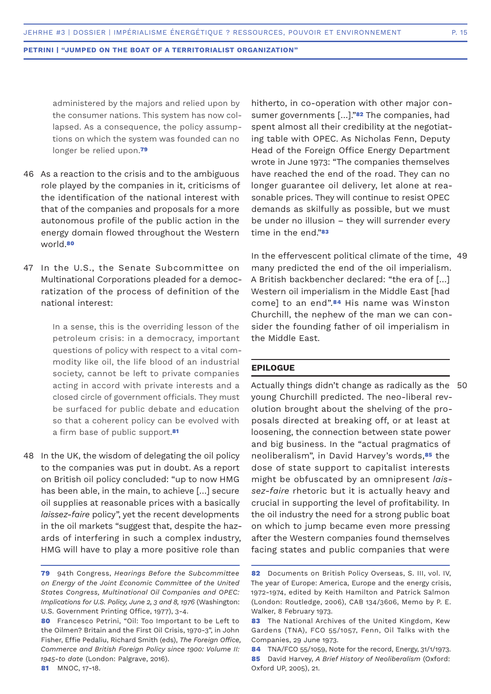administered by the majors and relied upon by the consumer nations. This system has now collapsed. As a consequence, the policy assumptions on which the system was founded can no longer be relied upon.**<sup>79</sup>**

- As a reaction to the crisis and to the ambiguous 46 role played by the companies in it, criticisms of the identification of the national interest with that of the companies and proposals for a more autonomous profile of the public action in the energy domain flowed throughout the Western world.**<sup>80</sup>**
- 47 In the U.S., the Senate Subcommittee on Multinational Corporations pleaded for a democratization of the process of definition of the national interest:

In a sense, this is the overriding lesson of the petroleum crisis: in a democracy, important questions of policy with respect to a vital commodity like oil, the life blood of an industrial society, cannot be left to private companies acting in accord with private interests and a closed circle of government officials. They must be surfaced for public debate and education so that a coherent policy can be evolved with a firm base of public support.**<sup>81</sup>**

48 In the UK, the wisdom of delegating the oil policy to the companies was put in doubt. As a report on British oil policy concluded: "up to now HMG has been able, in the main, to achieve […] secure oil supplies at reasonable prices with a basically *laissez-faire* policy", yet the recent developments in the oil markets "suggest that, despite the hazards of interfering in such a complex industry, HMG will have to play a more positive role than

hitherto, in co-operation with other major consumer governments […]."**82** The companies, had spent almost all their credibility at the negotiating table with OPEC. As Nicholas Fenn, Deputy Head of the Foreign Office Energy Department wrote in June 1973: "The companies themselves have reached the end of the road. They can no longer guarantee oil delivery, let alone at reasonable prices. They will continue to resist OPEC demands as skilfully as possible, but we must be under no illusion – they will surrender every time in the end."**<sup>83</sup>**

In the effervescent political climate of the time, 49 many predicted the end of the oil imperialism. A British backbencher declared: "the era of […] Western oil imperialism in the Middle East [had come] to an end".**84** His name was Winston Churchill, the nephew of the man we can consider the founding father of oil imperialism in the Middle East.

# **EPILOGUE**

Actually things didn't change as radically as the 50young Churchill predicted. The neo-liberal revolution brought about the shelving of the proposals directed at breaking off, or at least at loosening, the connection between state power and big business. In the "actual pragmatics of neoliberalism", in David Harvey's words,**85** the dose of state support to capitalist interests might be obfuscated by an omnipresent *laissez-faire* rhetoric but it is actually heavy and crucial in supporting the level of profitability. In the oil industry the need for a strong public boat on which to jump became even more pressing after the Western companies found themselves facing states and public companies that were

**<sup>79</sup>** 94th Congress, *Hearings Before the Subcommittee on Energy of the Joint Economic Committee of the United States Congress, Multinational Oil Companies and OPEC: Implications for U.S. Policy, June 2, 3 and 8, 1976* (Washington: U.S. Government Printing Office, 1977), 3-4.

**<sup>80</sup>** Francesco Petrini, "Oil: Too Important to be Left to the Oilmen? Britain and the First Oil Crisis, 1970-3", in John Fisher, Effie Pedaliu, Richard Smith (eds), *The Foreign Office, Commerce and British Foreign Policy since 1900: Volume II: 1945-to date* (London: Palgrave, 2016). **81** MNOC, 17-18.

**<sup>82</sup>** Documents on British Policy Overseas, S. III, vol. IV, The year of Europe: America, Europe and the energy crisis, 1972-1974, edited by Keith Hamilton and Patrick Salmon (London: Routledge, 2006), CAB 134/3606, Memo by P. E. Walker, 8 February 1973.

**<sup>83</sup>** The National Archives of the United Kingdom, Kew Gardens (TNA), FCO 55/1057, Fenn, Oil Talks with the Companies, 29 June 1973.

**<sup>84</sup>** TNA/FCO 55/1059, Note for the record, Energy, 31/1/1973. **85** David Harvey, *A Brief History of Neoliberalism* (Oxford: Oxford UP, 2005), 21.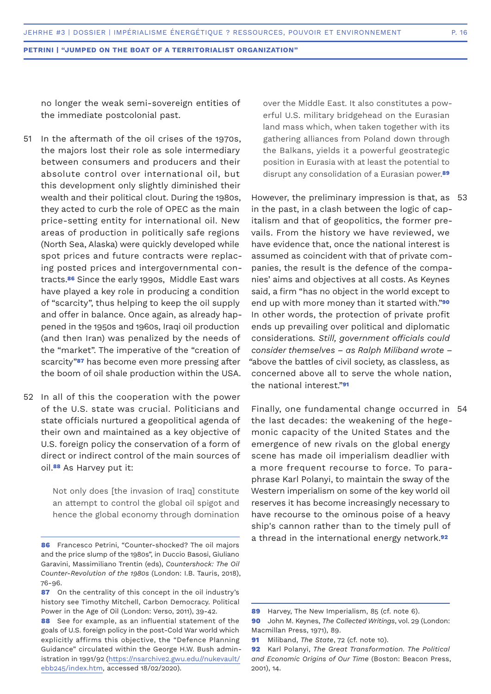no longer the weak semi-sovereign entities of the immediate postcolonial past.

- In the aftermath of the oil crises of the 1970s, the majors lost their role as sole intermediary between consumers and producers and their absolute control over international oil, but this development only slightly diminished their wealth and their political clout. During the 1980s, they acted to curb the role of OPEC as the main price-setting entity for international oil. New areas of production in politically safe regions (North Sea, Alaska) were quickly developed while spot prices and future contracts were replacing posted prices and intergovernmental contracts.**86** Since the early 1990s, Middle East wars have played a key role in producing a condition of "scarcity", thus helping to keep the oil supply and offer in balance. Once again, as already happened in the 1950s and 1960s, Iraqi oil production (and then Iran) was penalized by the needs of the "market". The imperative of the "creation of scarcity"**87** has become even more pressing after the boom of oil shale production within the USA. 51
- 52 In all of this the cooperation with the power of the U.S. state was crucial. Politicians and state officials nurtured a geopolitical agenda of their own and maintained as a key objective of U.S. foreign policy the conservation of a form of direct or indirect control of the main sources of oil.**88** As Harvey put it:

Not only does [the invasion of Iraq] constitute an attempt to control the global oil spigot and hence the global economy through domination over the Middle East. It also constitutes a powerful U.S. military bridgehead on the Eurasian land mass which, when taken together with its gathering alliances from Poland down through the Balkans, yields it a powerful geostrategic position in Eurasia with at least the potential to disrupt any consolidation of a Eurasian power.**<sup>89</sup>**

However, the preliminary impression is that, as 53 in the past, in a clash between the logic of capitalism and that of geopolitics, the former prevails. From the history we have reviewed, we have evidence that, once the national interest is assumed as coincident with that of private companies, the result is the defence of the companies' aims and objectives at all costs. As Keynes said, a firm "has no object in the world except to end up with more money than it started with."**<sup>90</sup>** In other words, the protection of private profit ends up prevailing over political and diplomatic considerations*. Still, government officials could consider themselves – as Ralph Miliband wrote – "*above the battles of civil society, as classless, as concerned above all to serve the whole nation, the national interest."**<sup>91</sup>**

Finally, one fundamental change occurred in 54the last decades: the weakening of the hegemonic capacity of the United States and the emergence of new rivals on the global energy scene has made oil imperialism deadlier with a more frequent recourse to force. To paraphrase Karl Polanyi, to maintain the sway of the Western imperialism on some of the key world oil reserves it has become increasingly necessary to have recourse to the ominous poise of a heavy ship's cannon rather than to the timely pull of a thread in the international energy network.**<sup>92</sup>**

**<sup>86</sup>** Francesco Petrini, "Counter-shocked? The oil majors and the price slump of the 1980s", in Duccio Basosi, Giuliano Garavini, Massimiliano Trentin (eds), *Countershock: The Oil Counter-Revolution of the 1980s* (London: I.B. Tauris, 2018), 76-96.

**<sup>87</sup>** On the centrality of this concept in the oil industry's history see Timothy Mitchell, Carbon Democracy. Political Power in the Age of Oil (London: Verso, 2011), 39-42.

**<sup>88</sup>** See for example, as an influential statement of the goals of U.S. foreign policy in the post-Cold War world which explicitly affirms this objective, the "Defence Planning Guidance" circulated within the George H.W. Bush administration in 1991/92 (https://nsarchive2.gwu.edu//nukevault/ ebb245/index.htm, accessed 18/02/2020).

**<sup>89</sup>** Harvey, The New Imperialism, 85 (cf. note 6).

**<sup>90</sup>** John M. Keynes, *The Collected Writings*, vol. 29 (London: Macmillan Press, 1971), 89.

**<sup>91</sup>** Miliband, *The State*, 72 (cf. note 10).

**<sup>92</sup>** Karl Polanyi, *The Great Transformation. The Political and Economic Origins of Our Time* (Boston: Beacon Press, 2001), 14.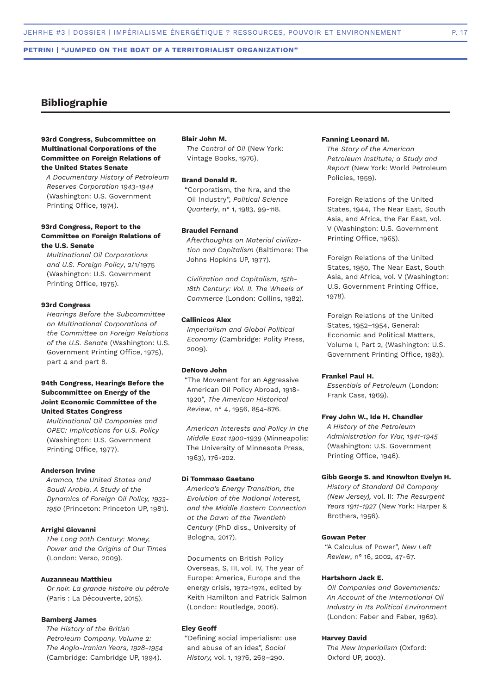# **Bibliographie**

# **93rd Congress, Subcommittee on Multinational Corporations of the Committee on Foreign Relations of the United States Senate**

*A Documentary History of Petroleum Reserves Corporation 1943-1944* (Washington: U.S. Government Printing Office, 1974).

# **93rd Congress, Report to the Committee on Foreign Relations of the U.S. Senate**

*Multinational Oil Corporations and U.S. Foreign Policy*, 2/1/1975 (Washington: U.S. Government Printing Office, 1975).

#### **93rd Congress**

*Hearings Before the Subcommittee on Multinational Corporations of the Committee on Foreign Relations of the U.S. Senate* (Washington: U.S. Government Printing Office, 1975), part 4 and part 8.

# **94th Congress, Hearings Before the Subcommittee on Energy of the Joint Economic Committee of the United States Congress**

*Multinational Oil Companies and OPEC: Implications for U.S. Policy* (Washington: U.S. Government Printing Office, 1977).

# **Anderson Irvine**

*Aramco, the United States and Saudi Arabia. A Study of the Dynamics of Foreign Oil Policy, 1933- 1950* (Princeton: Princeton UP, 1981).

# **Arrighi Giovanni**

*The Long 20th Century: Money, Power and the Origins of Our Times* (London: Verso, 2009).

#### **Auzanneau Matthieu**

*Or noir. La grande histoire du pétrole* (Paris : La Découverte, 2015).

#### **Bamberg James**

*The History of the British Petroleum Company. Volume 2: The Anglo-Iranian Years, 1928-1954* (Cambridge: Cambridge UP, 1994).

## **Blair John M.**

*The Control of Oil* (New York: Vintage Books, 1976).

#### **Brand Donald R.**

"Corporatism, the Nra, and the Oil Industry", *Political Science Quarterly*, n° 1, 1983, 99-118.

# **Braudel Fernand**

*Afterthoughts on Material civilization and Capitalism* (Baltimore: The Johns Hopkins UP, 1977).

*Civilization and Capitalism, 15th-18th Century: Vol. II. The Wheels of Commerce* (London: Collins, 1982).

# **Callinicos Alex**

*Imperialism and Global Political Economy* (Cambridge: Polity Press, 2009).

#### **DeNovo John**

"The Movement for an Aggressive American Oil Policy Abroad, 1918- 1920", *The American Historical Review*, n° 4, 1956, 854-876.

*American Interests and Policy in the Middle East 1900-1939* (Minneapolis: The University of Minnesota Press, 1963), 176-202.

#### **Di Tommaso Gaetano**

*America's Energy Transition, the Evolution of the National Interest, and the Middle Eastern Connection at the Dawn of the Twentieth Century* (PhD diss., University of Bologna, 2017).

Documents on British Policy Overseas, S. III, vol. IV, The year of Europe: America, Europe and the energy crisis, 1972-1974, edited by Keith Hamilton and Patrick Salmon (London: Routledge, 2006).

## **Eley Geoff**

"Defining social imperialism: use and abuse of an idea", *Social History,* vol. 1, 1976, 269–290.

# **Fanning Leonard M.**

*The Story of the American Petroleum Institute; a Study and Report* (New York: World Petroleum Policies, 1959).

Foreign Relations of the United States, 1944, The Near East, South Asia, and Africa, the Far East, vol. V (Washington: U.S. Government Printing Office, 1965).

Foreign Relations of the United States, 1950, The Near East, South Asia, and Africa, vol. V (Washington: U.S. Government Printing Office, 1978).

Foreign Relations of the United States, 1952–1954, General: Economic and Political Matters, Volume I, Part 2, (Washington: U.S. Government Printing Office, 1983).

## **Frankel Paul H.**

*Essentials of Petroleum* (London: Frank Cass, 1969).

#### **Frey John W., Ide H. Chandler**

*A History of the Petroleum Administration for War, 1941-1945* (Washington: U.S. Government Printing Office, 1946).

#### **Gibb George S. and Knowlton Evelyn H.**

*History of Standard Oil Company (New Jersey),* vol. II: *The Resurgent Years 1911-1927* (New York: Harper & Brothers, 1956).

## **Gowan Peter**

"A Calculus of Power", *New Left Review*, n° 16, 2002, 47-67.

#### **Hartshorn Jack E.**

*Oil Companies and Governments: An Account of the International Oil Industry in Its Political Environment* (London: Faber and Faber, 1962).

#### **Harvey David**

*The New Imperialism* (Oxford: Oxford UP, 2003).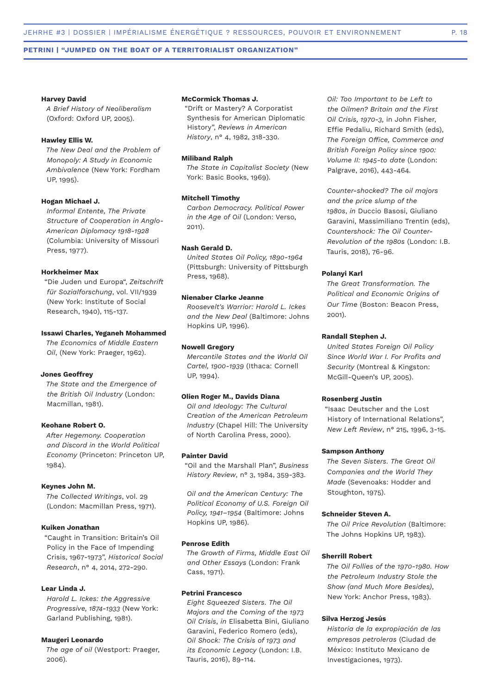#### **Harvey David**

*A Brief History of Neoliberalism* (Oxford: Oxford UP, 2005).

# **Hawley Ellis W.**

*The New Deal and the Problem of Monopoly: A Study in Economic Ambivalence* (New York: Fordham UP, 1995).

# **Hogan Michael J.**

*Informal Entente, The Private Structure of Cooperation in Anglo-American Diplomacy 1918-1928* (Columbia: University of Missouri Press, 1977).

#### **Horkheimer Max**

"Die Juden und Europa", *Zeitschrift für Sozialforschung*, vol. VII/1939 (New York: Institute of Social Research, 1940), 115-137.

# **Issawi Charles, Yeganeh Mohammed**

*The Economics of Middle Eastern Oil*, (New York: Praeger, 1962).

#### **Jones Geoffrey**

*The State and the Emergence of the British Oil Industry* (London: Macmillan, 1981).

#### **Keohane Robert O.**

*After Hegemony. Cooperation and Discord in the World Political Economy* (Princeton: Princeton UP, 1984).

#### **Keynes John M.**

*The Collected Writings*, vol. 29 (London: Macmillan Press, 1971).

# **Kuiken Jonathan**

"Caught in Transition: Britain's Oil Policy in the Face of Impending Crisis, 1967-1973", *Historical Social Research*, n° 4, 2014, 272-290.

#### **Lear Linda J.**

*Harold L. Ickes: the Aggressive Progressive, 1874-1933* (New York: Garland Publishing, 1981).

#### **Maugeri Leonardo**

*The age of oil* (Westport: Praeger, 2006).

## **McCormick Thomas J.**

"Drift or Mastery? A Corporatist Synthesis for American Diplomatic History", *Reviews in American History*, n° 4, 1982, 318-330.

## **Miliband Ralph**

*The State in Capitalist Society* (New York: Basic Books, 1969).

#### **Mitchell Timothy**

*Carbon Democracy. Political Power in the Age of Oil* (London: Verso, 2011).

# **Nash Gerald D.**

*United States Oil Policy, 1890-1964* (Pittsburgh: University of Pittsburgh Press, 1968).

## **Nienaber Clarke Jeanne**

*Roosevelt's Warrior: Harold L. Ickes and the New Deal* (Baltimore: Johns Hopkins UP, 1996).

## **Nowell Gregory**

*Mercantile States and the World Oil Cartel, 1900-1939* (Ithaca: Cornell UP, 1994).

#### **Olien Roger M., Davids Diana**

*Oil and Ideology: The Cultural Creation of the American Petroleum Industry* (Chapel Hill: The University of North Carolina Press, 2000).

#### **Painter David**

"Oil and the Marshall Plan", *Business History Review*, n° 3, 1984, 359-383.

*Oil and the American Century: The Political Economy of U.S. Foreign Oil Policy, 1941–1954* (Baltimore: Johns Hopkins UP, 1986).

#### **Penrose Edith**

*The Growth of Firms, Middle East Oil and Other Essays* (London: Frank Cass, 1971).

## **Petrini Francesco**

*Eight Squeezed Sisters. The Oil Majors and the Coming of the 1973 Oil Crisis*, *in* Elisabetta Bini, Giuliano Garavini, Federico Romero (eds), *Oil Shock: The Crisis of 1973 and its Economic Legacy* (London: I.B. Tauris, 2016), 89-114.

*Oil: Too Important to be Left to the Oilmen? Britain and the First Oil Crisis, 1970-3,* in John Fisher, Effie Pedaliu, Richard Smith (eds), *The Foreign Office, Commerce and British Foreign Policy since 1900: Volume II: 1945-to date* (London: Palgrave, 2016), 443-464*.*

*Counter-shocked? The oil majors and the price slump of the 1980s*, *in* Duccio Basosi, Giuliano Garavini, Massimiliano Trentin (eds), *Countershock: The Oil Counter-Revolution of the 1980s* (London: I.B. Tauris, 2018), 76-96.

# **Polanyi Karl**

*The Great Transformation. The Political and Economic Origins of Our Time* (Boston: Beacon Press, 2001).

#### **Randall Stephen J.**

*United States Foreign Oil Policy Since World War I. For Profits and Security* (Montreal & Kingston: McGill-Queen's UP, 2005).

#### **Rosenberg Justin**

"Isaac Deutscher and the Lost History of International Relations", *New Left Review*, n° 215, 1996, 3-15.

#### **Sampson Anthony**

*The Seven Sisters. The Great Oil Companies and the World They Made* (Sevenoaks: Hodder and Stoughton, 1975).

#### **Schneider Steven A.**

*The Oil Price Revolution* (Baltimore: The Johns Hopkins UP, 1983).

#### **Sherrill Robert**

*The Oil Follies of the 1970-1980. How the Petroleum Industry Stole the Show (and Much More Besides)*, New York: Anchor Press, 1983).

#### **Silva Herzog Jesús**

*Historia de la expropiación de las empresas petroleras* (Ciudad de México: Instituto Mexicano de Investigaciones, 1973).